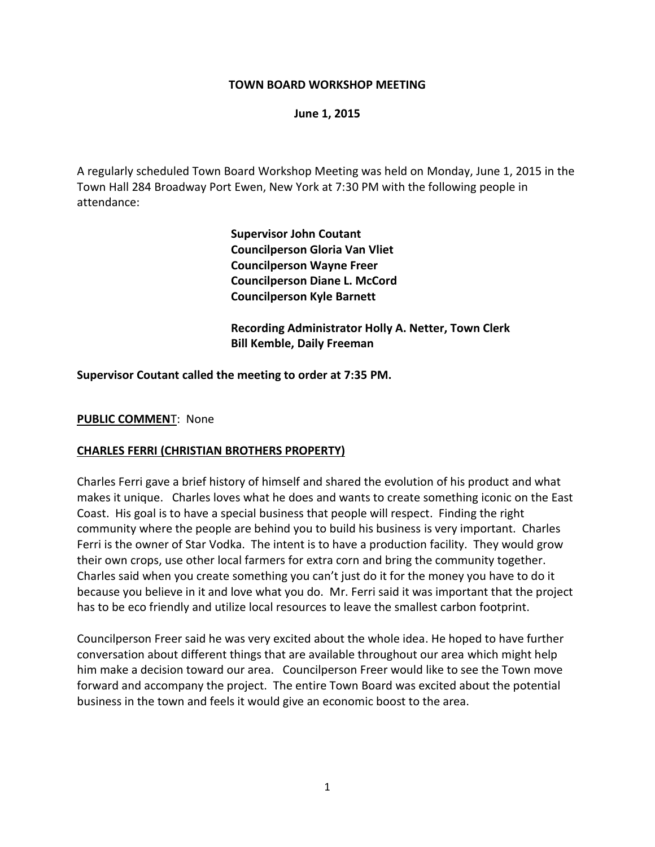#### **TOWN BOARD WORKSHOP MEETING**

#### **June 1, 2015**

A regularly scheduled Town Board Workshop Meeting was held on Monday, June 1, 2015 in the Town Hall 284 Broadway Port Ewen, New York at 7:30 PM with the following people in attendance:

> **Supervisor John Coutant Councilperson Gloria Van Vliet Councilperson Wayne Freer Councilperson Diane L. McCord Councilperson Kyle Barnett**

**Recording Administrator Holly A. Netter, Town Clerk Bill Kemble, Daily Freeman**

#### **Supervisor Coutant called the meeting to order at 7:35 PM.**

#### **PUBLIC COMMEN**T: None

#### **CHARLES FERRI (CHRISTIAN BROTHERS PROPERTY)**

Charles Ferri gave a brief history of himself and shared the evolution of his product and what makes it unique. Charles loves what he does and wants to create something iconic on the East Coast. His goal is to have a special business that people will respect. Finding the right community where the people are behind you to build his business is very important. Charles Ferri is the owner of Star Vodka. The intent is to have a production facility. They would grow their own crops, use other local farmers for extra corn and bring the community together. Charles said when you create something you can't just do it for the money you have to do it because you believe in it and love what you do. Mr. Ferri said it was important that the project has to be eco friendly and utilize local resources to leave the smallest carbon footprint.

Councilperson Freer said he was very excited about the whole idea. He hoped to have further conversation about different things that are available throughout our area which might help him make a decision toward our area. Councilperson Freer would like to see the Town move forward and accompany the project. The entire Town Board was excited about the potential business in the town and feels it would give an economic boost to the area.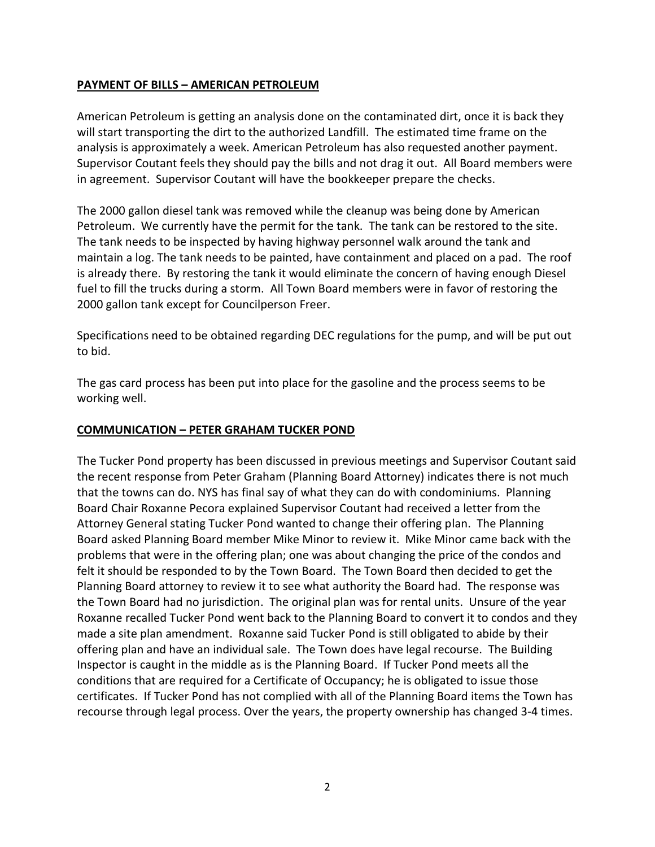### **PAYMENT OF BILLS – AMERICAN PETROLEUM**

American Petroleum is getting an analysis done on the contaminated dirt, once it is back they will start transporting the dirt to the authorized Landfill. The estimated time frame on the analysis is approximately a week. American Petroleum has also requested another payment. Supervisor Coutant feels they should pay the bills and not drag it out. All Board members were in agreement. Supervisor Coutant will have the bookkeeper prepare the checks.

The 2000 gallon diesel tank was removed while the cleanup was being done by American Petroleum. We currently have the permit for the tank. The tank can be restored to the site. The tank needs to be inspected by having highway personnel walk around the tank and maintain a log. The tank needs to be painted, have containment and placed on a pad. The roof is already there. By restoring the tank it would eliminate the concern of having enough Diesel fuel to fill the trucks during a storm. All Town Board members were in favor of restoring the 2000 gallon tank except for Councilperson Freer.

Specifications need to be obtained regarding DEC regulations for the pump, and will be put out to bid.

The gas card process has been put into place for the gasoline and the process seems to be working well.

### **COMMUNICATION – PETER GRAHAM TUCKER POND**

The Tucker Pond property has been discussed in previous meetings and Supervisor Coutant said the recent response from Peter Graham (Planning Board Attorney) indicates there is not much that the towns can do. NYS has final say of what they can do with condominiums. Planning Board Chair Roxanne Pecora explained Supervisor Coutant had received a letter from the Attorney General stating Tucker Pond wanted to change their offering plan. The Planning Board asked Planning Board member Mike Minor to review it. Mike Minor came back with the problems that were in the offering plan; one was about changing the price of the condos and felt it should be responded to by the Town Board. The Town Board then decided to get the Planning Board attorney to review it to see what authority the Board had. The response was the Town Board had no jurisdiction. The original plan was for rental units. Unsure of the year Roxanne recalled Tucker Pond went back to the Planning Board to convert it to condos and they made a site plan amendment. Roxanne said Tucker Pond is still obligated to abide by their offering plan and have an individual sale. The Town does have legal recourse. The Building Inspector is caught in the middle as is the Planning Board. If Tucker Pond meets all the conditions that are required for a Certificate of Occupancy; he is obligated to issue those certificates. If Tucker Pond has not complied with all of the Planning Board items the Town has recourse through legal process. Over the years, the property ownership has changed 3-4 times.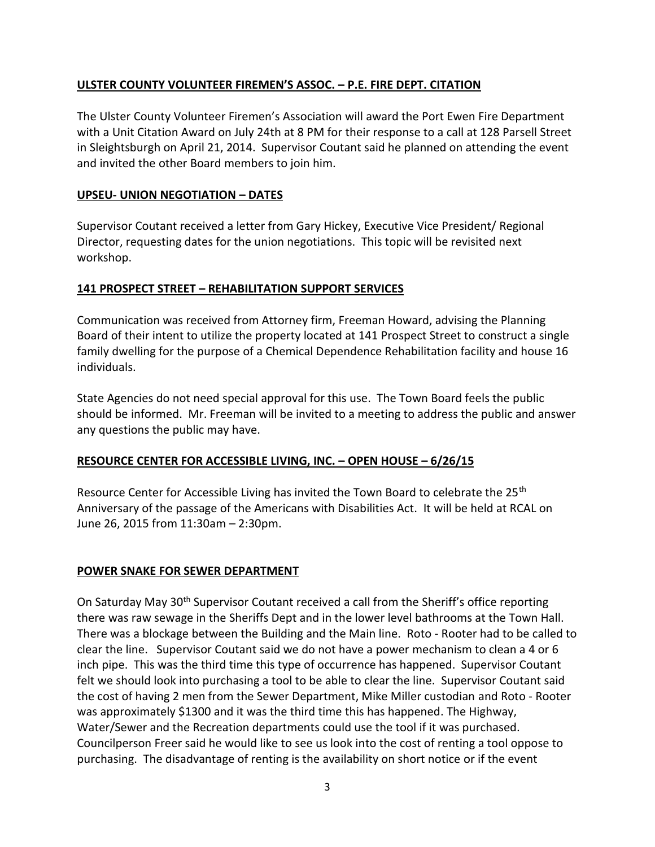# **ULSTER COUNTY VOLUNTEER FIREMEN'S ASSOC. – P.E. FIRE DEPT. CITATION**

The Ulster County Volunteer Firemen's Association will award the Port Ewen Fire Department with a Unit Citation Award on July 24th at 8 PM for their response to a call at 128 Parsell Street in Sleightsburgh on April 21, 2014. Supervisor Coutant said he planned on attending the event and invited the other Board members to join him.

# **UPSEU- UNION NEGOTIATION – DATES**

Supervisor Coutant received a letter from Gary Hickey, Executive Vice President/ Regional Director, requesting dates for the union negotiations. This topic will be revisited next workshop.

# **141 PROSPECT STREET – REHABILITATION SUPPORT SERVICES**

Communication was received from Attorney firm, Freeman Howard, advising the Planning Board of their intent to utilize the property located at 141 Prospect Street to construct a single family dwelling for the purpose of a Chemical Dependence Rehabilitation facility and house 16 individuals.

State Agencies do not need special approval for this use. The Town Board feels the public should be informed. Mr. Freeman will be invited to a meeting to address the public and answer any questions the public may have.

# **RESOURCE CENTER FOR ACCESSIBLE LIVING, INC. – OPEN HOUSE – 6/26/15**

Resource Center for Accessible Living has invited the Town Board to celebrate the 25<sup>th</sup> Anniversary of the passage of the Americans with Disabilities Act. It will be held at RCAL on June 26, 2015 from 11:30am – 2:30pm.

# **POWER SNAKE FOR SEWER DEPARTMENT**

On Saturday May 30th Supervisor Coutant received a call from the Sheriff's office reporting there was raw sewage in the Sheriffs Dept and in the lower level bathrooms at the Town Hall. There was a blockage between the Building and the Main line. Roto - Rooter had to be called to clear the line. Supervisor Coutant said we do not have a power mechanism to clean a 4 or 6 inch pipe. This was the third time this type of occurrence has happened. Supervisor Coutant felt we should look into purchasing a tool to be able to clear the line. Supervisor Coutant said the cost of having 2 men from the Sewer Department, Mike Miller custodian and Roto - Rooter was approximately \$1300 and it was the third time this has happened. The Highway, Water/Sewer and the Recreation departments could use the tool if it was purchased. Councilperson Freer said he would like to see us look into the cost of renting a tool oppose to purchasing. The disadvantage of renting is the availability on short notice or if the event